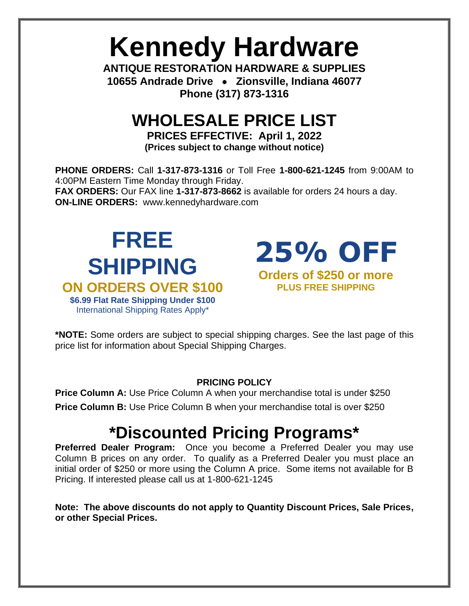# **Kennedy Hardware**

**ANTIQUE RESTORATION HARDWARE & SUPPLIES 10655 Andrade Drive** • **Zionsville, Indiana 46077 Phone (317) 873-1316**

### **WHOLESALE PRICE LIST**

**PRICES EFFECTIVE: April 1, 2022 (Prices subject to change without notice)**

**PHONE ORDERS:** Call **1-317-873-1316** or Toll Free **1-800-621-1245** from 9:00AM to 4:00PM Eastern Time Monday through Friday. **FAX ORDERS:** Our FAX line **1-317-873-8662** is available for orders 24 hours a day. **ON-LINE ORDERS:** [www.kennedyhardware.com](http://www.kennedyhardware.com/)

### **FREE SHIPPING ON ORDERS OVER \$100 \$6.99 Flat Rate Shipping Under \$100** International Shipping Rates Apply\*



**\*NOTE:** Some orders are subject to special shipping charges. See the last page of this price list for information about Special Shipping Charges.

#### **PRICING POLICY**

**Price Column A:** Use Price Column A when your merchandise total is under \$250 **Price Column B:** Use Price Column B when your merchandise total is over \$250

## **\*Discounted Pricing Programs\***

**Preferred Dealer Program:** Once you become a Preferred Dealer you may use Column B prices on any order. To qualify as a Preferred Dealer you must place an initial order of \$250 or more using the Column A price. Some items not available for B Pricing. If interested please call us at 1-800-621-1245

**Note: The above discounts do not apply to Quantity Discount Prices, Sale Prices, or other Special Prices.**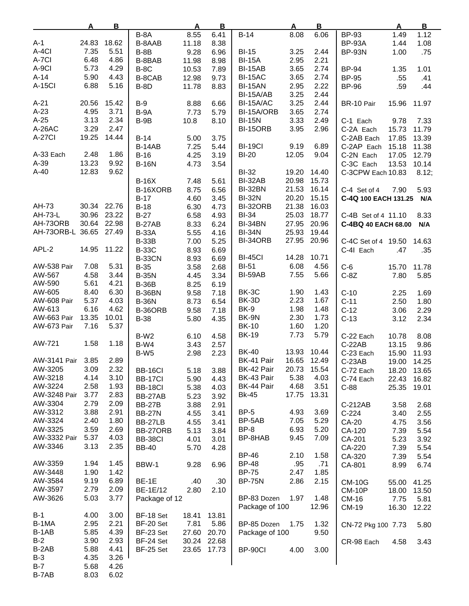|                  | A     | B           |                  | $\mathbf{A}$ | B           |                | $\mathbf{A}$ | B     |                      | $\mathbf{A}$ | $\mathbf{B}$ |
|------------------|-------|-------------|------------------|--------------|-------------|----------------|--------------|-------|----------------------|--------------|--------------|
|                  |       |             | B-8A             | 8.55         | 6.41        | $B-14$         | 8.08         | 6.06  | <b>BP-93</b>         | 1.49         | 1.12         |
| $A-1$            | 24.83 | 18.62       | B-8AAB           | 11.18        | 8.38        |                |              |       | <b>BP-93A</b>        | 1.44         | 1.08         |
| A-4CI            | 7.35  | 5.51        | $B-8B$           | 9.28         | 6.96        | <b>BI-15</b>   | 3.25         | 2.44  | <b>BP-93N</b>        | 1.00         | .75          |
| A-7CI            | 6.48  | 4.86        | B-8BAB           | 11.98        | 8.98        | <b>BI-15A</b>  | 2.95         | 2.21  |                      |              |              |
| A-9CI            | 5.73  | 4.29        | $B-8C$           | 10.53        | 7.89        | BI-15AB        | 3.65         | 2.74  | <b>BP-94</b>         | 1.35         | 1.01         |
| $A-14$           | 5.90  | 4.43        | B-8CAB           | 12.98        | 9.73        | <b>BI-15AC</b> | 3.65         | 2.74  | <b>BP-95</b>         | .55          | .41          |
| <b>A-15CI</b>    | 6.88  | 5.16        |                  |              |             |                |              |       |                      |              |              |
|                  |       |             | <b>B-8D</b>      | 11.78        | 8.83        | <b>BI-15AN</b> | 2.95         | 2.22  | <b>BP-96</b>         | .59          | .44          |
|                  |       |             |                  |              |             | BI-15A/AB      | 3.25         | 2.44  |                      |              |              |
| $A-21$           | 20.56 | 15.42       | $B-9$            | 8.88         | 6.66        | BI-15A/AC      | 3.25         | 2.44  | BR-10 Pair           | 15.96        | 11.97        |
| $A-23$           | 4.95  | 3.71        | B-9A             | 7.73         | 5.79        | BI-15A/ORB     | 3.65         | 2.74  |                      |              |              |
| $A-25$           | 3.13  | 2.34        | $B-9B$           | 10.8         | 8.10        | <b>BI-15N</b>  | 3.33         | 2.49  | C-1 Each             | 9.78         | 7.33         |
| A-26AC           | 3.29  | 2.47        |                  |              |             | BI-15ORB       | 3.95         | 2.96  | C-2A Each            | 15.73        | 11.79        |
| <b>A-27CI</b>    | 19.25 | 14.44       | $B-14$           | 5.00         | 3.75        |                |              |       | C-2AB Each           | 17.85        | 13.39        |
|                  |       |             | <b>B-14AB</b>    | 7.25         | 5.44        | <b>BI-19CI</b> | 9.19         | 6.89  | C-2AP Each           | 15.18        | 11.38        |
| A-33 Each        | 2.48  | 1.86        | $B-16$           | 4.25         | 3.19        | <b>BI-20</b>   | 12.05        | 9.04  | C-2N Each            | 17.05        | 12.79        |
| A-39             | 13.23 | 9.92        | <b>B-16N</b>     | 4.73         | 3.54        |                |              |       | C-3C Each            | 13.53        | 10.14        |
| $A-40$           | 12.83 | 9.62        |                  |              |             | <b>BI-32</b>   | 19.20        | 14.40 | C-3CPW Each 10.83    |              | 8.12;        |
|                  |       |             | $B-16X$          | 7.48         | 5.61        | BI-32AB        | 20.98        | 15.73 |                      |              |              |
|                  |       |             |                  |              |             |                |              |       |                      |              |              |
|                  |       |             | B-16XORB         | 8.75         | 6.56        | BI-32BN        | 21.53        | 16.14 | C-4 Set of 4         | 7.90         | 5.93         |
|                  |       |             | $B-17$           | 4.60         | 3.45        | <b>BI-32N</b>  | 20.20        | 15.15 | C-4Q 100 EACH 131.25 |              | N/A          |
| AH-73            |       | 30.34 22.76 | $B-18$           | 6.30         | 4.73        | BI-32ORB       | 21.38        | 16.03 |                      |              |              |
| AH-73-L          | 30.96 | 23.22       | $B-27$           | 6.58         | 4.93        | <b>BI-34</b>   | 25.03        | 18.77 | C-4B Set of 4 11.10  |              | 8.33         |
| AH-730RB         | 30.64 | 22.98       | <b>B-27AB</b>    | 8.33         | 6.24        | BI-34BN        | 27.95        | 20.96 | C-4BQ 40 EACH 68.00  |              | N/A          |
| AH-73ORB-L 36.65 |       | 27.49       | <b>B-33A</b>     | 5.55         | 4.16        | <b>BI-34N</b>  | 25.93        | 19.44 |                      |              |              |
|                  |       |             | <b>B-33B</b>     | 7.00         | 5.25        | BI-34ORB       | 27.95        | 20.96 | C-4C Set of 4 19.50  |              | 14.63        |
| APL-2            | 14.95 | 11.22       | <b>B-33C</b>     | 8.93         | 6.69        |                |              |       | C-41 Each            | .47          | .35          |
|                  |       |             | <b>B-33CN</b>    | 8.93         | 6.69        | <b>BI-45CI</b> | 14.28        | 10.71 |                      |              |              |
| AW-538 Pair      | 7.08  | 5.31        | $B-35$           | 3.58         | 2.68        | <b>BI-51</b>   | 6.08         | 4.56  | $C-6$                | 15.70        | 11.78        |
| AW-567           | 4.58  | 3.44        | <b>B-35N</b>     | 4.45         | 3.34        | BI-59AB        | 7.55         | 5.66  | $C-8Z$               | 7.80         | 5.85         |
| AW-590           | 5.61  | 4.21        | <b>B-36B</b>     | 8.25         | 6.19        |                |              |       |                      |              |              |
| AW-605           | 8.40  | 6.30        |                  |              |             | BK-3C          | 1.90         | 1.43  |                      |              |              |
|                  |       |             | <b>B-36BN</b>    | 9.58         | 7.18        | BK-3D          |              |       | $C-10$               | 2.25         | 1.69         |
| AW-608 Pair      | 5.37  | 4.03        | <b>B-36N</b>     | 8.73         | 6.54        |                | 2.23         | 1.67  | $C-11$               | 2.50         | 1.80         |
| AW-613           | 6.16  | 4.62        | B-36ORB          | 9.58         | 7.18        | BK-9           | 1.98         | 1.48  | $C-12$               | 3.06         | 2.29         |
| AW-663 Pair      | 13.35 | 10.01       | <b>B-38</b>      | 5.80         | 4.35        | BK-9N          | 2.30         | 1.73  | $C-13$               | 3.12         | 2.34         |
| AW-673 Pair      | 7.16  | 5.37        |                  |              |             | <b>BK-10</b>   | 1.60         | 1.20  |                      |              |              |
|                  |       |             | B-W <sub>2</sub> | 6.10         | 4.58        | <b>BK-19</b>   | 7.73         | 5.79  | C-22 Each            | 10.78        | 8.08         |
| AW-721           | 1.58  | 1.18        | B-W4             | 3.43         | 2.57        |                |              |       | C-22AB               | 13.15        | 9.86         |
|                  |       |             | B-W <sub>5</sub> | 2.98         | 2.23        | <b>BK-40</b>   | 13.93        | 10.44 | C-23 Each            | 15.90        | 11.93        |
| AW-3141 Pair     | 3.85  | 2.89        |                  |              |             | BK-41 Pair     | 16.65        | 12.49 | $C-23AB$             | 19.00        | 14.25        |
| AW-3205          | 3.09  | 2.32        | BB-16CI          | 5.18         | 3.88        | BK-42 Pair     | 20.73        | 15.54 | C-72 Each            | 18.20        | 13.65        |
| AW-3218          | 4.14  | 3.10        | <b>BB-17CI</b>   | 5.90         | 4.43        | BK-43 Pair     | 5.38         | 4.03  | C-74 Each            | 22.43        | 16.82        |
| AW-3224          | 2.58  | 1.93        | BB-18CI          | 5.38         | 4.03        | BK-44 Pair     | 4.68         | 3.51  | $C-88$               | 25.35        | 19.01        |
| AW-3248 Pair     | 3.77  | 2.83        | BB-27AB          | 5.23         | 3.92        | Bk-45          | 17.75        | 13.31 |                      |              |              |
| AW-3304          | 2.79  | 2.09        |                  |              |             |                |              |       |                      |              |              |
| AW-3312          | 3.88  | 2.91        | <b>BB-27B</b>    | 3.88         | 2.91        | $BP-5$         | 4.93         | 3.69  | C-212AB              | 3.58         | 2.68         |
| AW-3324          | 2.40  | 1.80        | <b>BB-27N</b>    | 4.55         | 3.41        | BP-5AB         | 7.05         | 5.29  | $C-224$              | 3.40         | 2.55         |
|                  |       |             | BB-27LB          | 4.55         | 3.41        |                |              |       | CA-20                | 4.75         | 3.56         |
| AW-3325          | 3.59  | 2.69        | BB-27ORB         | 5.13         | 3.84        | BP-8           | 6.93         | 5.20  | CA-120               | 7.39         | 5.54         |
| AW-3332 Pair     | 5.37  | 4.03        | BB-38CI          | 4.01         | 3.01        | BP-8HAB        | 9.45         | 7.09  | CA-201               | 5.23         | 3.92         |
| AW-3346          | 3.13  | 2.35        | <b>BB-40</b>     | 5.70         | 4.28        |                |              |       | CA-220               | 7.39         | 5.54         |
|                  |       |             |                  |              |             | <b>BP-46</b>   | 2.10         | 1.58  | CA-320               | 7.39         | 5.54         |
| AW-3359          | 1.94  | 1.45        | BBW-1            | 9.28         | 6.96        | <b>BP-48</b>   | .95          | .71   | CA-801               | 8.99         | 6.74         |
| AW-3448          | 1.90  | 1.42        |                  |              |             | <b>BP-75</b>   | 2.47         | 1.85  |                      |              |              |
| AW-3584          | 9.19  | 6.89        | BE-1E            | .40          | .30         | <b>BP-75N</b>  | 2.86         | 2.15  | <b>CM-10G</b>        | 55.00        | 41.25        |
| AW-3597          | 2.79  | 2.09        | BE-1E/12         | 2.80         | 2.10        |                |              |       | <b>CM-10P</b>        | 18.00        | 13.50        |
| AW-3626          | 5.03  | 3.77        | Package of 12    |              |             | BP-83 Dozen    | 1.97         | 1.48  | CM-16                | 7.75         | 5.81         |
|                  |       |             |                  |              |             | Package of 100 |              | 12.96 | CM-19                | 16.30        | 12.22        |
| $B-1$            | 4.00  | 3.00        | BF-18 Set        | 18.41        | 13.81       |                |              |       |                      |              |              |
| B-1MA            |       | 2.21        |                  |              |             | BP-85 Dozen    |              |       |                      |              |              |
|                  | 2.95  |             | BF-20 Set        | 7.81         | 5.86        |                | 1.75         | 1.32  | CN-72 Pkg 100 7.73   |              | 5.80         |
| B-1AB            | 5.85  | 4.39        | BF-23 Set        | 27.60        | 20.70       | Package of 100 |              | 9.50  |                      |              |              |
| $B-2$            | 3.90  | 2.93        | BF-24 Set        |              | 30.24 22.68 |                |              |       | CR-98 Each           | 4.58         | 3.43         |
| B-2AB            | 5.88  | 4.41        | BF-25 Set        | 23.65        | 17.73       | BP-90Cl        | 4.00         | 3.00  |                      |              |              |
| $B-3$            | 4.35  | 3.26        |                  |              |             |                |              |       |                      |              |              |
| $B-7$            | 5.68  | 4.26        |                  |              |             |                |              |       |                      |              |              |
| B-7AB            | 8.03  | 6.02        |                  |              |             |                |              |       |                      |              |              |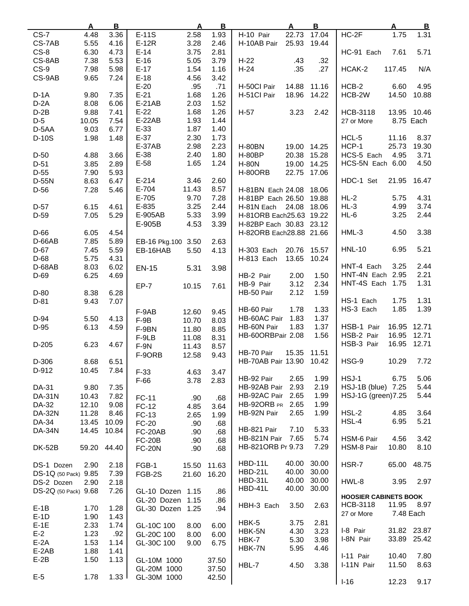|                      | A     | $\overline{B}$ | <u>A</u>              | $\mathbf{B}$ | A                       | $\overline{B}$ | $\overline{\mathbf{B}}$<br>Α   |
|----------------------|-------|----------------|-----------------------|--------------|-------------------------|----------------|--------------------------------|
| $CS-7$               | 4.48  | 3.36           | $E-11S$<br>2.58       | 1.93         | H-10 Pair<br>22.73      | 17.04          | $HC-2F$<br>1.75<br>1.31        |
| CS-7AB               | 5.55  | 4.16           | $E-12R$<br>3.28       | 2.46         | H-10AB Pair<br>25.93    | 19.44          |                                |
| $CS-8$               | 6.30  | 4.73           | $E-14$<br>3.75        | 2.81         |                         |                | 7.61<br>5.71<br>HC-91 Each     |
|                      |       |                |                       |              |                         |                |                                |
| CS-8AB               | 7.38  | 5.53           | $E-16$<br>5.05        | 3.79         | $H-22$<br>.43           | .32            |                                |
| $CS-9$               | 7.98  | 5.98           | $E-17$<br>1.54        | 1.16         | $H-24$<br>.35           | .27            | 117.45<br>N/A<br>HCAK-2        |
| CS-9AB               | 9.65  | 7.24           | $E-18$<br>4.56        | 3.42         |                         |                |                                |
|                      |       |                | $E-20$<br>.95         | .71          | H-50Cl Pair             | 14.88 11.16    | $HCB-2$<br>4.95<br>6.60        |
| $D-1A$               | 9.80  | 7.35           | $E-21$<br>1.68        | 1.26         | H-51Cl Pair<br>18.96    | 14.22          | 14.50<br>HCB-2W<br>10.88       |
|                      |       |                |                       |              |                         |                |                                |
| $D-2A$               | 8.08  | 6.06           | E-21AB<br>2.03        | 1.52         |                         |                |                                |
| $D-2B$               | 9.88  | 7.41           | $E-22$<br>1.68        | 1.26         | H-57<br>3.23            | 2.42           | <b>HCB-3118</b><br>13.95 10.46 |
| $D-5$                | 10.05 | 7.54           | $E-22AB$<br>1.93      | 1.44         |                         |                | 8.75 Each<br>27 or More        |
| $D-5AA$              | 9.03  | 6.77           | $E-33$<br>1.87        | 1.40         |                         |                |                                |
| D-10S                | 1.98  | 1.48           | $E-37$<br>2.30        | 1.73         |                         |                | HCL-5<br>11.16<br>8.37         |
|                      |       |                | <b>E-37AB</b><br>2.98 | 2.23         |                         |                | HCP-1                          |
|                      |       |                |                       |              | <b>H-80BN</b>           | 19.00 14.25    | 25.73<br>19.30                 |
| $D-50$               | 4.88  | 3.66           | $E-38$<br>2.40        | 1.80         | <b>H-80BP</b>           | 20.38 15.28    | HCS-5 Each<br>4.95<br>3.71     |
| $D-51$               | 3.85  | 2.89           | $E-58$<br>1.65        | 1.24         | <b>H-80N</b>            | 19.00 14.25    | HCS-5N Each 6.00<br>4.50       |
| $D-55$               | 7.90  | 5.93           |                       |              | <b>H-80ORB</b>          | 22.75 17.06    |                                |
| D-55N                | 8.63  | 6.47           | $E-214$<br>3.46       | 2.60         |                         |                | HDC-1 Set<br>21.95<br>16.47    |
| $D-56$               | 7.28  |                | E-704<br>11.43        | 8.57         |                         |                |                                |
|                      |       | 5.46           |                       |              | H-81BN Each 24.08 18.06 |                |                                |
|                      |       |                | E-705<br>9.70         | 7.28         | H-81BP Each 26.50 19.88 |                | 4.31<br>$HL-2$<br>5.75         |
| $D-57$               | 6.15  | 4.61           | 3.25<br>E-835         | 2.44         | H-81N Each 24.08 18.06  |                | 4.99<br>3.74<br>$HL-3$         |
| $D-59$               | 7.05  | 5.29           | 5.33<br>E-905AB       | 3.99         | H-81ORB Each25.63 19.22 |                | 3.25<br>HL-6<br>2.44           |
|                      |       |                | 4.53<br>E-905B        | 3.39         | H-82BP Each 30.83 23.12 |                |                                |
| D-66                 | 6.05  | 4.54           |                       |              | H-82ORB Each28.88 21.66 |                | $HML-3$<br>4.50<br>3.38        |
|                      |       |                |                       |              |                         |                |                                |
| $D-66AB$             | 7.85  | 5.89           | EB-16 Pkg.100 3.50    | 2.63         |                         |                |                                |
| $D-67$               | 7.45  | 5.59           | EB-16HAB<br>5.50      | 4.13         | H-303 Each              | 20.76 15.57    | 5.21<br><b>HNL-10</b><br>6.95  |
| $D-68$               | 5.75  | 4.31           |                       |              | H-813 Each<br>13.65     | 10.24          |                                |
| D-68AB               | 8.03  | 6.02           | 5.31<br><b>EN-15</b>  | 3.98         |                         |                | 3.25<br>2.44<br>HNT-4 Each     |
| $D-69$               | 6.25  | 4.69           |                       |              | HB-2 Pair<br>2.00       | 1.50           | 2.21<br>HNT-4N Each 2.95       |
|                      |       |                |                       |              |                         |                |                                |
|                      |       |                | $EP-7$<br>10.15       | 7.61         | 3.12<br>HB-9 Pair       | 2.34           | HNT-4S Each 1.75<br>1.31       |
| $D-80$               | 8.38  | 6.28           |                       |              | 2.12<br>HB-50 Pair      | 1.59           |                                |
| $D-81$               | 9.43  | 7.07           |                       |              |                         |                | 1.31<br>HS-1 Each<br>1.75      |
|                      |       |                | F-9AB<br>12.60        | 9.45         | HB-60 Pair<br>1.78      | 1.33           | HS-3 Each<br>1.85<br>1.39      |
| D-94                 | 5.50  | 4.13           |                       |              | HB-60AC Pair<br>1.83    | 1.37           |                                |
|                      |       |                | $F-9B$<br>10.70       | 8.03         | 1.83<br>HB-60N Pair     | 1.37           | HSB-1 Pair<br>16.95<br>12.71   |
| $D-95$               | 6.13  | 4.59           | F-9BN<br>11.80        | 8.85         |                         |                |                                |
|                      |       |                | F-9LB<br>11.08        | 8.31         | HB-60ORBPair 2.08       | 1.56           | HSB-2 Pair<br>16.95<br>12.71   |
| $D-205$              | 6.23  | 4.67           | $F-9N$<br>11.43       | 8.57         |                         |                | HSB-3 Pair<br>16.95<br>12.71   |
|                      |       |                | F-9ORB<br>12.58       | 9.43         | 15.35<br>HB-70 Pair     | 11.51          |                                |
| D-306                | 8.68  | 6.51           |                       |              | HB-70AB Pair 13.90      | 10.42          | HSG-9<br>10.29<br>7.72         |
| D-912                | 10.45 | 7.84           |                       |              |                         |                |                                |
|                      |       |                | $F-33$<br>4.63        | 3.47         |                         |                |                                |
|                      |       |                | $F-66$<br>3.78        | 2.83         | HB-92 Pair<br>2.65      | 1.99           | HSJ-1<br>6.75<br>5.06          |
| DA-31                | 9.80  | 7.35           |                       |              | 2.93<br>HB-92AB Pair    | 2.19           | HSJ-1B (blue) 7.25<br>5.44     |
| <b>DA-31N</b>        | 10.43 | 7.82           | <b>FC-11</b><br>.90   | .68          | HB-92AC Pair<br>2.65    | 1.99           | HSJ-1G (green) 7.25<br>5.44    |
| DA-32                | 12.10 | 9.08           | FC-12<br>4.85         | 3.64         | HB-92ORB PR<br>2.65     | 1.99           |                                |
| <b>DA-32N</b>        | 11.28 |                |                       |              | HB-92N Pair<br>2.65     | 1.99           | $HSL-2$<br>4.85<br>3.64        |
|                      |       | 8.46           | FC-13<br>2.65         | 1.99         |                         |                |                                |
| DA-34                | 13.45 | 10.09          | <b>FC-20</b><br>.90   | .68          |                         |                | 5.21<br>HSL-4<br>6.95          |
| <b>DA-34N</b>        | 14.45 | 10.84          | FC-20AB<br>.90        | .68          | 7.10<br>HB-821 Pair     | 5.33           |                                |
|                      |       |                | <b>FC-20B</b><br>.90  | .68          | HB-821N Pair<br>7.65    | 5.74           | HSM-6 Pair<br>4.56<br>3.42     |
| <b>DK-52B</b>        | 59.20 | 44.40          | <b>FC-20N</b><br>.90  | .68          | HB-821ORB Pr 9.73       | 7.29           | 8.10<br>HSM-8 Pair<br>10.80    |
|                      |       |                |                       |              |                         |                |                                |
|                      |       |                |                       |              | HBD-11L<br>40.00        | 30.00          | HSR-7                          |
| DS-1 Dozen           | 2.90  | 2.18           | FGB-1<br>15.50        | 11.63        |                         |                | 65.00<br>48.75                 |
| DS-1Q (50 Pack) 9.85 |       | 7.39           | FGB-2S<br>21.60       | 16.20        | <b>HBD-21L</b><br>40.00 | 30.00          |                                |
| DS-2 Dozen           | 2.90  | 2.18           |                       |              | HBD-31L<br>40.00        | 30.00          | HWL-8<br>3.95<br>2.97          |
| DS-2Q (50 Pack) 9.68 |       | 7.26           | GL-10 Dozen 1.15      | .86          | HBD-41L<br>40.00        | 30.00          |                                |
|                      |       |                |                       |              |                         |                | <b>HOOSIER CABINETS BOOK</b>   |
|                      |       |                | GL-20 Dozen 1.15      | .86          | 3.50<br>HBH-3 Each      | 2.63           | HCB-3118<br>11.95<br>8.97      |
| $E-1B$               | 1.70  | 1.28           | GL-30 Dozen 1.25      | .94          |                         |                | 27 or More<br>7.48 Each        |
| $E-1D$               | 1.90  | 1.43           |                       |              |                         |                |                                |
| $E-1E$               | 2.33  | 1.74           | GL-10C 100<br>8.00    | 6.00         | HBK-5<br>3.75           | 2.81           |                                |
| $E-2$                | 1.23  | .92            | GL-20C 100<br>8.00    | 6.00         | HBK-5N<br>4.30          | 3.23           | I-8 Pair<br>31.82 23.87        |
| $E-2A$               | 1.53  | 1.14           | GL-30C 100<br>9.00    | 6.75         | HBK-7<br>5.30           | 3.98           | 33.89 25.42<br>I-8N Pair       |
|                      |       |                |                       |              | HBK-7N<br>5.95          | 4.46           |                                |
| $E-2AB$              | 1.88  | 1.41           |                       |              |                         |                | I-11 Pair<br>10.40<br>7.80     |
| $E-2B$               | 1.50  | 1.13           | GL-10M 1000           | 37.50        |                         |                | I-11N Pair<br>11.50<br>8.63    |
|                      |       |                | GL-20M 1000           | 37.50        | HBL-7<br>4.50           | 3.38           |                                |
| $E-5$                | 1.78  | 1.33           | GL-30M 1000           | 42.50        |                         |                |                                |
|                      |       |                |                       |              |                         |                | $I-16$<br>12.23<br>9.17        |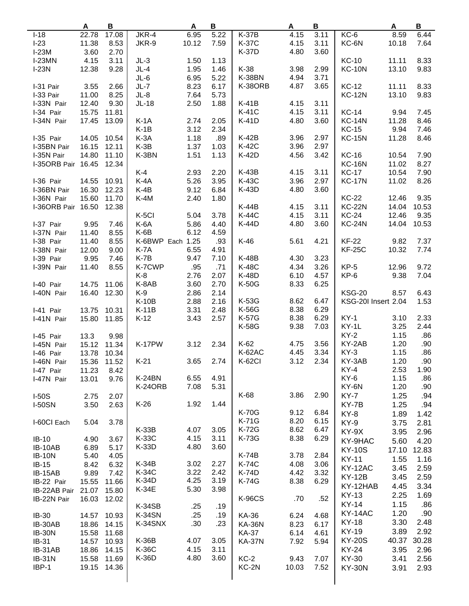|                    | Α     | $\, {\bf B}$ |                  | Α     | B    |               | Α     | $\, {\bf B}$ |                     | A     | B     |
|--------------------|-------|--------------|------------------|-------|------|---------------|-------|--------------|---------------------|-------|-------|
| $I-18$             | 22.78 | 17.08        | JKR-4            | 6.95  | 5.22 | <b>K-37B</b>  | 4.15  | 3.11         | $KC-6$              | 8.59  | 6.44  |
| $I-23$             | 11.38 | 8.53         | JKR-9            | 10.12 | 7.59 | <b>K-37C</b>  | 4.15  | 3.11         | KC-6N               | 10.18 | 7.64  |
| $I-23M$            | 3.60  | 2.70         |                  |       |      | <b>K-37D</b>  | 4.80  | 3.60         |                     |       |       |
| $I-23MN$           | 4.15  | 3.11         | $JL-3$           | 1.50  | 1.13 |               |       |              | <b>KC-10</b>        | 11.11 | 8.33  |
| $I-23N$            | 12.38 | 9.28         | $JL-4$           | 1.95  | 1.46 | K-38          | 3.98  | 2.99         | <b>KC-10N</b>       | 13.10 | 9.83  |
|                    |       |              | $JL-6$           | 6.95  | 5.22 | <b>K-38BN</b> | 4.94  | 3.71         |                     |       |       |
|                    |       |              |                  |       |      |               |       |              |                     |       |       |
| I-31 Pair          | 3.55  | 2.66         | $JL-7$           | 8.23  | 6.17 | K-38ORB       | 4.87  | 3.65         | <b>KC-12</b>        | 11.11 | 8.33  |
| I-33 Pair          | 11.00 | 8.25         | $JL-8$           | 7.64  | 5.73 |               |       |              | <b>KC-12N</b>       | 13.10 | 9.83  |
| I-33N Pair         | 12.40 | 9.30         | $JL-18$          | 2.50  | 1.88 | K-41B         | 4.15  | 3.11         |                     |       |       |
| I-34 Pair          | 15.75 | 11.81        |                  |       |      | <b>K-41C</b>  | 4.15  | 3.11         | <b>KC-14</b>        | 9.94  | 7.45  |
| I-34N Pair         | 17.45 | 13.09        | $K-1A$           | 2.74  | 2.05 | K-41D         | 4.80  | 3.60         | <b>KC-14N</b>       | 11.28 | 8.46  |
|                    |       |              | $K-1B$           | 3.12  | 2.34 |               |       |              | <b>KC-15</b>        | 9.94  | 7.46  |
| I-35 Pair          | 14.05 | 10.54        | $K-3A$           | 1.18  | .89  | $K-42B$       | 3.96  | 2.97         | <b>KC-15N</b>       | 11.28 | 8.46  |
| I-35BN Pair        | 16.15 | 12.11        | $K-3B$           | 1.37  | 1.03 | K-42C         | 3.96  | 2.97         |                     |       |       |
| I-35N Pair         | 14.80 | 11.10        | K-3BN            | 1.51  | 1.13 | K-42D         | 4.56  | 3.42         | <b>KC-16</b>        | 10.54 | 7.90  |
| I-35ORB Pair 16.45 |       | 12.34        |                  |       |      |               |       |              | <b>KC-16N</b>       | 11.02 | 8.27  |
|                    |       |              | $K-4$            | 2.93  | 2.20 | $K-43B$       | 4.15  | 3.11         | <b>KC-17</b>        | 10.54 | 7.90  |
| I-36 Pair          | 14.55 | 10.91        | $K-4A$           | 5.26  | 3.95 | <b>K-43C</b>  | 3.96  | 2.97         | <b>KC-17N</b>       | 11.02 | 8.26  |
| I-36BN Pair        | 16.30 | 12.23        | $K-4B$           | 9.12  | 6.84 | K-43D         | 4.80  | 3.60         |                     |       |       |
|                    | 15.60 |              |                  | 2.40  | 1.80 |               |       |              | <b>KC-22</b>        | 12.46 | 9.35  |
| I-36N Pair         |       | 11.70        | K-4M             |       |      |               |       |              |                     |       |       |
| I-36ORB Pair 16.50 |       | 12.38        |                  |       |      | K-44B         | 4.15  | 3.11         | <b>KC-22N</b>       | 14.04 | 10.53 |
|                    |       |              | K-5CI            | 5.04  | 3.78 | <b>K-44C</b>  | 4.15  | 3.11         | <b>KC-24</b>        | 12.46 | 9.35  |
| I-37 Pair          | 9.95  | 7.46         | K-6A             | 5.86  | 4.40 | K-44D         | 4.80  | 3.60         | <b>KC-24N</b>       | 14.04 | 10.53 |
| I-37N Pair         | 11.40 | 8.55         | $K-6B$           | 6.12  | 4.59 |               |       |              |                     |       |       |
| I-38 Pair          | 11.40 | 8.55         | K-6BWP Each 1.25 |       | .93  | $K-46$        | 5.61  | 4.21         | <b>KF-22</b>        | 9.82  | 7.37  |
| I-38N Pair         | 12.00 | 9.00         | K-7A             | 6.55  | 4.91 |               |       |              | <b>KF-25C</b>       | 10.32 | 7.74  |
| I-39 Pair          | 9.95  | 7.46         | $K-7B$           | 9.47  | 7.10 | K-48B         | 4.30  | 3.23         |                     |       |       |
| I-39N Pair         | 11.40 | 8.55         | K-7CWP           | .95   | .71  | <b>K-48C</b>  | 4.34  | 3.26         | $KP-5$              | 12.96 | 9.72  |
|                    |       |              | K-8              | 2.76  | 2.07 | K-48D         | 6.10  | 4.57         | KP-6                | 9.38  | 7.04  |
| I-40 Pair          | 14.75 | 11.06        | K-8AB            | 3.60  | 2.70 | <b>K-50G</b>  | 8.33  | 6.25         |                     |       |       |
| I-40N Pair         | 16.40 | 12.30        | $K-9$            | 2.86  | 2.14 |               |       |              | <b>KSG-20</b>       | 8.57  | 6.43  |
|                    |       |              | <b>K-10B</b>     | 2.88  | 2.16 | K-53G         | 8.62  | 6.47         | KSG-20I Insert 2.04 |       | 1.53  |
| I-41 Pair          | 13.75 | 10.31        | $K-11B$          | 3.31  | 2.48 | K-56G         | 8.38  | 6.29         |                     |       |       |
|                    |       |              | $K-12$           | 3.43  | 2.57 | <b>K-57G</b>  | 8.38  | 6.29         | $KY-1$              | 3.10  | 2.33  |
| I-41N Pair         | 15.80 | 11.85        |                  |       |      |               |       |              |                     |       |       |
|                    |       |              |                  |       |      | K-58G         | 9.38  | 7.03         | KY-1L               | 3.25  | 2.44  |
| I-45 Pair          | 13.3  | 9.98         |                  |       |      |               |       |              | $KY-2$              | 1.15  | .86   |
| I-45N Pair         | 15.12 | 11.34        | K-17PW           | 3.12  | 2.34 | $K-62$        | 4.75  | 3.56         | KY-2AB              | 1.20  | .90   |
| I-46 Pair          | 13.78 | 10.34        |                  |       |      | K-62AC        | 4.45  | 3.34         | $KY-3$              | 1.15  | .86   |
| I-46N Pair         | 15.36 | 11.52        | $K-21$           | 3.65  | 2.74 | <b>K-62CI</b> | 3.12  | 2.34         | KY-3AB              | 1.20  | .90   |
| I-47 Pair          | 11.23 | 8.42         |                  |       |      |               |       |              | $KY-4$              | 2.53  | 1.90  |
| I-47N Pair         | 13.01 | 9.76         | K-24BN           | 6.55  | 4.91 |               |       |              | KY-6                | 1.15  | .86   |
|                    |       |              | K-24ORB          | 7.08  | 5.31 |               |       |              | KY-6N               | 1.20  | .90   |
| $I-50S$            | 2.75  | 2.07         |                  |       |      | K-68          | 3.86  | 2.90         | $KY-7$              | 1.25  | .94   |
| <b>I-50SN</b>      | 3.50  | 2.63         | $K-26$           | 1.92  | 1.44 |               |       |              | KY-7B               | 1.25  | .94   |
|                    |       |              |                  |       |      | <b>K-70G</b>  | 9.12  | 6.84         | KY-8                | 1.89  | 1.42  |
| I-60CI Each        | 5.04  | 3.78         |                  |       |      | K-71G         | 8.20  | 6.15         |                     |       |       |
|                    |       |              | $K-33B$          | 4.07  | 3.05 | K-72G         | 8.62  | 6.47         | KY-9                | 3.75  | 2.81  |
|                    |       |              | K-33C            | 4.15  | 3.11 | K-73G         | 8.38  | 6.29         | KY-9X               | 3.95  | 2.96  |
| $IB-10$            | 4.90  | 3.67         |                  |       |      |               |       |              | KY-9HAC             | 5.60  | 4.20  |
| IB-10AB            | 6.89  | 5.17         | K-33D            | 4.80  | 3.60 |               |       |              | <b>KY-10S</b>       | 17.10 | 12.83 |
| <b>IB-10N</b>      | 5.40  | 4.05         |                  |       |      | K-74B         | 3.78  | 2.84         | <b>KY-11</b>        | 1.55  | 1.16  |
| $IB-15$            | 8.42  | 6.32         | $K-34B$          | 3.02  | 2.27 | <b>K-74C</b>  | 4.08  | 3.06         | KY-12AC             | 3.45  | 2.59  |
| IB-15AB            | 9.89  | 7.42         | K-34C            | 3.22  | 2.42 | <b>K-74D</b>  | 4.42  | 3.32         | <b>KY-12B</b>       | 3.45  | 2.59  |
| IB-22 Pair         | 15.55 | 11.66        | K-34D            | 4.25  | 3.19 | <b>K-74G</b>  | 8.38  | 6.29         | KY-12HAB            | 4.45  | 3.34  |
| IB-22AB Pair       | 21.07 | 15.80        | K-34E            | 5.30  | 3.98 |               |       |              |                     |       |       |
| IB-22N Pair        | 16.03 | 12.02        |                  |       |      | <b>K-96CS</b> | .70   | .52          | <b>KY-13</b>        | 2.25  | 1.69  |
|                    |       |              | K-34SB           | .25   | .19  |               |       |              | <b>KY-14</b>        | 1.15  | .86   |
| <b>IB-30</b>       | 14.57 | 10.93        | <b>K-34SN</b>    | .25   | .19  | KA-36         | 6.24  | 4.68         | <b>KY-14AC</b>      | 1.20  | .90   |
| IB-30AB            | 18.86 | 14.15        | K-34SNX          | .30   | .23  | <b>KA-36N</b> | 8.23  | 6.17         | <b>KY-18</b>        | 3.30  | 2.48  |
| <b>IB-30N</b>      | 15.58 | 11.68        |                  |       |      | KA-37         | 6.14  | 4.61         | KY-19               | 3.89  | 2.92  |
| IB-31              | 14.57 | 10.93        | K-36B            | 4.07  | 3.05 | <b>KA-37N</b> | 7.92  | 5.94         | <b>KY-20S</b>       | 40.37 | 30.28 |
| IB-31AB            | 18.86 | 14.15        | K-36C            | 4.15  | 3.11 |               |       |              | KY-24               | 3.95  | 2.96  |
|                    |       |              | K-36D            | 4.80  | 3.60 | $KC-2$        |       |              |                     |       |       |
| <b>IB-31N</b>      | 15.58 | 11.69        |                  |       |      |               | 9.43  | 7.07         | KY-30               | 3.41  | 2.56  |
| IBP-1              | 19.15 | 14.36        |                  |       |      | KC-2N         | 10.03 | 7.52         | <b>KY-30N</b>       | 3.91  | 2.93  |
|                    |       |              |                  |       |      |               |       |              |                     |       |       |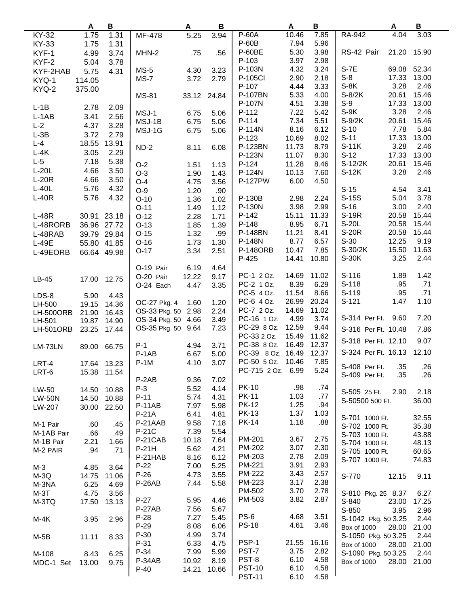|                  | Α           | B           |                    | A     | B     |                   | A     | В     |                     | A           | B     |
|------------------|-------------|-------------|--------------------|-------|-------|-------------------|-------|-------|---------------------|-------------|-------|
| KY-32            | 1.75        | 1.31        | MF-478             | 5.25  | 3.94  | P-60A             | 10.46 | 7.85  | RA-942              | 4.04        | 3.03  |
| <b>KY-33</b>     | 1.75        | 1.31        |                    |       |       | $P-60B$           | 7.94  | 5.96  |                     |             |       |
| KYF-1            | 4.99        | 3.74        | MHN-2              | .75   | .56   | P-60BE            | 5.30  | 3.98  | RS-42 Pair          | 21.20       | 15.90 |
| KYF-2            |             | 3.78        |                    |       |       | P-103             | 3.97  | 2.98  |                     |             |       |
|                  | 5.04        |             | $MS-5$             | 4.30  | 3.23  | P-103N            | 4.32  | 3.24  | S-7E                | 69.08       | 52.34 |
| KYF-2HAB         | 5.75        | 4.31        |                    |       |       | P-105Cl           | 2.90  | 2.18  | $S-8$               | 17.33       | 13.00 |
| KYQ-1            | 114.05      |             | $MS-7$             | 3.72  | 2.79  | P-107             | 4.44  | 3.33  | $S-8K$              | 3.28        | 2.46  |
| KYQ-2            | 375.00      |             |                    |       |       |                   |       |       |                     |             |       |
|                  |             |             | <b>MS-81</b>       | 33.12 | 24.84 | P-107BN           | 5.33  | 4.00  | $S-8/2K$            | 20.61       | 15.46 |
| $L-1B$           | 2.78        | 2.09        |                    |       |       | P-107N            | 4.51  | 3.38  | $S-9$               | 17.33       | 13.00 |
| $L-1AB$          | 3.41        | 2.56        | MSJ-1              | 6.75  | 5.06  | P-112             | 7.22  | 5.42  | $S-9K$              | 3.28        | 2.46  |
| $L-2$            | 4.37        | 3.28        | MSJ-1B             | 6.75  | 5.06  | P-114             | 7.34  | 5.51  | $S-9/2K$            | 20.61       | 15.46 |
| $L-3B$           | 3.72        | 2.79        | MSJ-1G             | 6.75  | 5.06  | P-114N            | 8.16  | 6.12  | $S-10$              | 7.78        | 5.84  |
| $L - 4$          | 18.55       | 13.91       |                    |       |       | P-123             | 10.69 | 8.02  | $S-11$              | 17.33       | 13.00 |
|                  |             |             | $ND-2$             | 8.11  | 6.08  | P-123BN           | 11.73 | 8.79  | $S-11K$             | 3.28        | 2.46  |
| $L-4K$           | 3.05        | 2.29        |                    |       |       | P-123N            | 11.07 | 8.30  | $S-12$              | 17.33       | 13.00 |
| $L-5$            | 7.18        | 5.38        | $O-2$              | 1.51  | 1.13  | P-124             | 11.28 | 8.46  | S-12/2K             | 20.61       | 15.46 |
| $L-20L$          | 4.66        | 3.50        | $O-3$              | 1.90  | 1.43  | P-124N            | 10.13 | 7.60  | S-12K               | 3.28        | 2.46  |
| $L-20R$          | 4.66        | 3.50        | $O-4$              | 4.75  | 3.56  | <b>P-127PW</b>    | 6.00  | 4.50  |                     |             |       |
| $L-40L$          | 5.76        | 4.32        | $O-9$              | 1.20  | .90   |                   |       |       | $S-15$              | 4.54        | 3.41  |
| $L-40R$          | 5.76        | 4.32        | $O-10$             | 1.36  | 1.02  | P-130B            | 2.98  | 2.24  | S-15S               | 5.04        | 3.78  |
|                  |             |             | $O-11$             | 1.49  | 1.12  | <b>P-130N</b>     | 3.98  | 2.99  | $S-16$              | 3.00        | 2.40  |
| $L-48R$          |             | 30.91 23.18 | $O-12$             | 2.28  | 1.71  | P-142             | 15.11 | 11.33 | S-19R               | 20.58       | 15.44 |
| L-48RORB         |             | 36.96 27.72 | $O-13$             | 1.85  | 1.39  | P-148             | 8.95  | 6.71  | S-20L               | 20.58       | 15.44 |
|                  |             |             |                    |       |       | <b>P-148BN</b>    | 11.21 | 8.41  | <b>S-20R</b>        | 20.58       | 15.44 |
| L-48RAB          |             | 39.79 29.84 | $O-15$             | 1.32  | .99   | P-148N            | 8.77  | 6.57  | $S-30$              | 12.25       | 9.19  |
| $L-49E$          |             | 55.80 41.85 | $O-16$             | 1.73  | 1.30  |                   |       |       |                     |             |       |
| L-49EORB         |             | 66.64 49.98 | $O-17$             | 3.34  | 2.51  | <b>P-148ORB</b>   | 10.47 | 7.85  | S-30/2K             | 15.50       | 11.63 |
|                  |             |             |                    |       |       | P-425             | 14.41 | 10.80 | S-30K               | 3.25        | 2.44  |
|                  |             |             | O-19 Pair          | 6.19  | 4.64  |                   |       |       |                     |             |       |
| LB-45            | 17.00       | 12.75       | O-20 Pair          | 12.22 | 9.17  | PC-1 2 Oz.        | 14.69 | 11.02 | $S-116$             | 1.89        | 1.42  |
|                  |             |             | O-24 Each          | 4.47  | 3.35  | PC-2 1 Oz.        | 8.39  | 6.29  | S-118               | .95         | .71   |
| LDS-8            | 5.90        | 4.43        |                    |       |       | PC-5 4 Oz.        | 11.54 | 8.66  | S-119               | .95         | .71   |
| LH-500           | 19.15       | 14.36       | OC-27 Pkg. 4       | 1.60  | 1.20  | PC-6 4 Oz.        | 26.99 | 20.24 | $S-121$             | 1.47        | 1.10  |
| <b>LH-500ORB</b> | 21.90       | 16.43       | OS-33 Pkg. 50      | 2.98  | 2.24  | PC-7 2 Oz.        | 14.69 | 11.02 |                     |             |       |
| LH-501           | 19.87       | 14.90       | OS-34 Pkg. 50 4.66 |       | 3.49  | PC-16 1 Oz.       | 4.99  | 3.74  | S-314 Per Ft.       | 9.60        | 7.20  |
| <b>LH-501ORB</b> | 23.25       | 17.44       | OS-35 Pkg. 50      | 9.64  | 7.23  | PC-29 8 Oz.       | 12.59 | 9.44  | S-316 Per Ft. 10.48 |             | 7.86  |
|                  |             |             |                    |       |       | PC-33 2 Oz.       | 15.49 | 11.62 |                     |             |       |
| LM-73LN          | 89.00       | 66.75       | $P-1$              | 4.94  | 3.71  | PC-38 8 Oz.       | 16.49 | 12.37 | S-318 Per Ft. 12.10 |             | 9.07  |
|                  |             |             | P-1AB              | 6.67  | 5.00  | PC-39 8 Oz. 16.49 |       | 12.37 | S-324 Per Ft. 16.13 |             | 12.10 |
| LRT-4            |             | 17.64 13.23 | $P-1M$             | 4.10  | 3.07  | PC-50 5 Oz.       | 10.46 | 7.85  |                     |             |       |
| LRT-6            |             | 15.38 11.54 |                    |       |       | PC-715 2 Oz. 6.99 |       | 5.24  | S-408 Per Ft.       | .35         | .26   |
|                  |             |             | P-2AB              | 9.36  | 7.02  |                   |       |       | S-409 Per Ft.       | .35         | .26   |
| LW-50            | 14.50 10.88 |             | $P-3$              | 5.52  | 4.14  | <b>PK-10</b>      | .98   | .74   |                     |             |       |
| <b>LW-50N</b>    | 14.50       | 10.88       | $P-11$             | 5.74  | 4.31  | <b>PK-11</b>      | 1.03  | .77   | S-505 25 Ft.        | 2.90        | 2.18  |
|                  |             | 30.00 22.50 | <b>P-11AB</b>      | 7.97  | 5.98  | <b>PK-12</b>      | 1.25  | .94   | S-50500 500 Ft.     |             | 36.00 |
| LW-207           |             |             | P-21A              | 6.41  | 4.81  | <b>PK-13</b>      | 1.37  | 1.03  |                     |             |       |
|                  |             |             | P-21AAB            | 9.58  | 7.18  | PK-14             | 1.18  | .88   | S-701 1000 Ft.      |             | 32.55 |
| M-1 Pair         | .60         | .45         | P-21C              | 7.39  | 5.54  |                   |       |       | S-702 1000 Ft.      |             | 35.38 |
| M-1AB Pair       | .66         | .49         |                    |       |       | PM-201            | 3.67  | 2.75  | S-703 1000 Ft.      |             | 43.88 |
| M-1B Pair        | 2.21        | 1.66        | P-21CAB            | 10.18 | 7.64  |                   |       |       | S-704 1000 Ft.      |             | 48.13 |
| M-2 PAIR         | .94         | .71         | P-21H              | 5.62  | 4.21  | PM-202            | 3.07  | 2.30  | S-705 1000 Ft.      |             | 60.65 |
|                  |             |             | P-21HAB            | 8.16  | 6.12  | PM-203            | 2.78  | 2.09  | S-707 1000 Ft.      |             | 74.83 |
| M-3              | 4.85        | 3.64        | $P-22$             | 7.00  | 5.25  | PM-221            | 3.91  | 2.93  |                     |             |       |
| $M-3Q$           | 14.75       | 11.06       | $P-26$             | 4.73  | 3.55  | <b>PM-222</b>     | 3.43  | 2.57  | S-770               | 12.15       | 9.11  |
| M-3NA            | 6.25        | 4.69        | P-26AB             | 7.44  | 5.58  | PM-223            | 3.17  | 2.38  |                     |             |       |
| $M-3T$           | 4.75        | 3.56        |                    |       |       | PM-502            | 3.70  | 2.78  | S-810 Pkg. 25 8.37  |             | 6.27  |
| M-3TQ            | 17.50       | 13.13       | $P-27$             | 5.95  | 4.46  | PM-503            | 3.82  | 2.87  | S-840               | 23.00       | 17.25 |
|                  |             |             | $P-27AB$           | 7.56  | 5.67  |                   |       |       | S-850               | 3.95        | 2.96  |
| M-4K             | 3.95        | 2.96        | $P-28$             | 7.27  | 5.45  | PS-6              | 4.68  | 3.51  | S-1042 Pkg. 50 3.25 |             | 2.44  |
|                  |             |             | $P-29$             | 8.08  | 6.06  | <b>PS-18</b>      | 4.61  | 3.46  | Box of 1000         | 28.00 21.00 |       |
| $M-5B$           | 11.11       | 8.33        | $P-30$             | 4.99  | 3.74  |                   |       |       | S-1050 Pkg. 50 3.25 |             | 2.44  |
|                  |             |             | $P-31$             | 6.33  | 4.75  | PSP-1             | 21.55 | 16.16 | <b>Box of 1000</b>  | 28.00 21.00 |       |
| M-108            | 8.43        | 6.25        | P-34               | 7.99  | 5.99  | PST-7             | 3.75  | 2.82  | S-1090 Pkg. 50 3.25 |             | 2.44  |
| MDC-1 Set        | 13.00       | 9.75        | P-34AB             | 10.92 | 8.19  | PST-8             | 6.10  | 4.58  | Box of 1000         | 28.00 21.00 |       |
|                  |             |             | $P-40$             | 14.21 | 10.66 | <b>PST-10</b>     | 6.10  | 4.58  |                     |             |       |
|                  |             |             |                    |       |       | <b>PST-11</b>     | 6.10  | 4.58  |                     |             |       |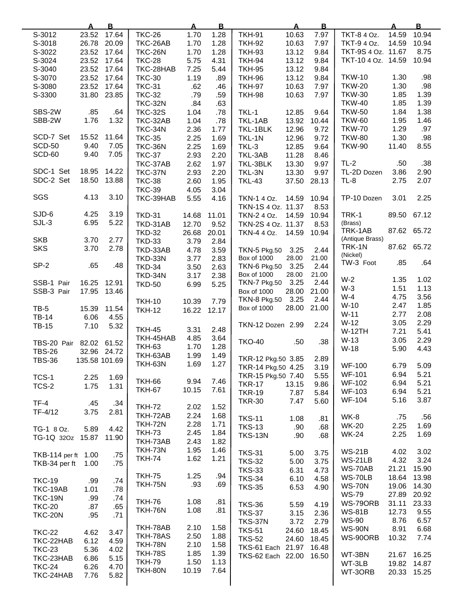|                     | <u>A</u>      | $\overline{B}$ |                | <u>A</u> | $\mathbf{B}$ |                     | $\overline{\mathbf{A}}$ | $\mathbf{B}$ |                    | A     | $\overline{B}$ |
|---------------------|---------------|----------------|----------------|----------|--------------|---------------------|-------------------------|--------------|--------------------|-------|----------------|
| S-3012              | 23.52         | 17.64          | <b>TKC-26</b>  | 1.70     | 1.28         | <b>TKH-91</b>       | 10.63                   | 7.97         | TKT-8 4 Oz.        | 14.59 | 10.94          |
| S-3018              | 26.78         | 20.09          | TKC-26AB       | 1.70     | 1.28         | <b>TKH-92</b>       | 10.63                   | 7.97         | TKT-9 4 Oz.        | 14.59 | 10.94          |
| S-3022              | 23.52         | 17.64          | <b>TKC-26N</b> | 1.70     | 1.28         | <b>TKH-93</b>       | 13.12                   | 9.84         | TKT-9S 4 Oz. 11.67 |       | 8.75           |
| S-3024              | 23.52         | 17.64          | <b>TKC-28</b>  | 5.75     | 4.31         | <b>TKH-94</b>       | 13.12                   | 9.84         | TKT-10 4 Oz. 14.59 |       | 10.94          |
|                     |               |                |                |          |              |                     |                         |              |                    |       |                |
| S-3040              | 23.52         | 17.64          | TKC-28HAB      | 7.25     | 5.44         | <b>TKH-95</b>       | 13.12                   | 9.84         |                    |       |                |
| S-3070              | 23.52         | 17.64          | <b>TKC-30</b>  | 1.19     | .89          | <b>TKH-96</b>       | 13.12                   | 9.84         | <b>TKW-10</b>      | 1.30  | .98            |
| S-3080              | 23.52         | 17.64          | <b>TKC-31</b>  | .62      | .46          | <b>TKH-97</b>       | 10.63                   | 7.97         | <b>TKW-20</b>      | 1.30  | .98            |
| S-3300              | 31.80         | 23.85          | <b>TKC-32</b>  | .79      | .59          | <b>TKH-98</b>       | 10.63                   | 7.97         | <b>TKW-30</b>      | 1.85  | 1.39           |
|                     |               |                | <b>TKC-32N</b> | .84      | .63          |                     |                         |              | <b>TKW-40</b>      | 1.85  | 1.39           |
| SBS-2W              | .85           | .64            | <b>TKC-32S</b> | 1.04     | .78          | TKL-1               | 12.85                   | 9.64         | <b>TKW-50</b>      | 1.84  | 1.38           |
| SBB-2W              | 1.76          | 1.32           | TKC-32AB       | 1.04     | .78          | TKL-1AB             | 13.92                   | 10.44        | <b>TKW-60</b>      | 1.95  | 1.46           |
|                     |               |                | TKC-34N        | 2.36     |              | TKL-1BLK            | 12.96                   |              | <b>TKW-70</b>      | 1.29  | .97            |
|                     |               |                |                |          | 1.77         |                     |                         | 9.72         |                    |       |                |
| SCD-7 Set           | 15.52         | 11.64          | <b>TKC-35</b>  | 2.25     | 1.69         | TKL-1N              | 12.96                   | 9.72         | <b>TKW-80</b>      | 1.30  | .98            |
| <b>SCD-50</b>       | 9.40          | 7.05           | <b>TKC-36N</b> | 2.25     | 1.69         | TKL-3               | 12.85                   | 9.64         | <b>TKW-90</b>      | 11.40 | 8.55           |
| SCD-60              | 9.40          | 7.05           | <b>TKC-37</b>  | 2.93     | 2.20         | TKL-3AB             | 11.28                   | 8.46         |                    |       |                |
|                     |               |                | TKC-37AB       | 2.62     | 1.97         | TKL-3BLK            | 13.30                   | 9.97         | $TL-2$             | .50   | .38            |
| SDC-1 Set           | 18.95         | 14.22          | <b>TKC-37N</b> | 2.93     | 2.20         | TKL-3N              | 13.30                   | 9.97         | TL-2D Dozen        | 3.86  | 2.90           |
| SDC-2 Set           | 18.50         | 13.88          | <b>TKC-38</b>  | 2.60     | 1.95         | <b>TKL-43</b>       | 37.50                   | 28.13        | TL-8               | 2.75  | 2.07           |
|                     |               |                | <b>TKC-39</b>  | 4.05     | 3.04         |                     |                         |              |                    |       |                |
| SGS                 | 4.13          | 3.10           |                |          |              |                     |                         |              |                    | 3.01  | 2.25           |
|                     |               |                | TKC-39HAB      | 5.55     | 4.16         | TKN-1 4 Oz.         | 14.59                   | 10.94        | TP-10 Dozen        |       |                |
|                     |               |                |                |          |              | TKN-1S 4 Oz. 11.37  |                         | 8.53         |                    |       |                |
| SJD-6               | 4.25          | 3.19           | <b>TKD-31</b>  | 14.68    | 11.01        | TKN-2 4 Oz.         | 14.59                   | 10.94        | TRK-1              | 89.50 | 67.12          |
| $SJL-3$             | 6.95          | 5.22           | TKD-31AB       | 12.70    | 9.52         | TKN-2S 4 Oz. 11.37  |                         | 8.53         | (Brass)            |       |                |
|                     |               |                | <b>TKD-32</b>  | 26.68    | 20.01        | TKN-4 4 Oz.         | 14.59                   | 10.94        | TRK-1AB            |       | 87.62 65.72    |
| <b>SKB</b>          | 3.70          | 2.77           | <b>TKD-33</b>  | 3.79     | 2.84         |                     |                         |              | (Antique Brass)    |       |                |
| <b>SKS</b>          | 3.70          | 2.78           | TKD-33AB       | 4.78     | 3.59         | <b>TKN-5 Pkg.50</b> | 3.25                    | 2.44         | TRK-1N             |       | 87.62 65.72    |
|                     |               |                |                |          |              | Box of 1000         | 28.00                   | 21.00        | (Nickel)           |       |                |
| SP-2                | .65           | .48            | <b>TKD-33N</b> | 3.77     | 2.83         |                     |                         |              | TW-3 Foot          | .85   | .64            |
|                     |               |                | <b>TKD-34</b>  | 3.50     | 2.63         | <b>TKN-6 Pkg.50</b> | 3.25                    | 2.44         |                    |       |                |
|                     |               |                | TKD-34N        | 3.17     | 2.38         | Box of 1000         | 28.00                   | 21.00        | $W-2$              | 1.35  | 1.02           |
| SSB-1 Pair          | 16.25         | 12.91          | <b>TKD-50</b>  | 6.99     | 5.25         | <b>TKN-7 Pkg.50</b> | 3.25                    | 2.44         | $W-3$              | 1.51  | 1.13           |
| SSB-3 Pair          | 17.95         | 13.46          |                |          |              | <b>Box of 1000</b>  | 28.00                   | 21.00        |                    |       |                |
|                     |               |                | <b>TKH-10</b>  | 10.39    | 7.79         | <b>TKN-8 Pkg.50</b> | 3.25                    | 2.44         | $W-4$              | 4.75  | 3.56           |
| $TB-5$              | 15.39         | 11.54          | <b>TKH-12</b>  | 16.22    | 12.17        | <b>Box of 1000</b>  | 28.00                   | 21.00        | $W-10$             | 2.47  | 1.85           |
| <b>TB-14</b>        | 6.06          | 4.55           |                |          |              |                     |                         |              | $W-11$             | 2.77  | 2.08           |
| <b>TB-15</b>        | 7.10          | 5.32           |                |          |              | TKN-12 Dozen 2.99   |                         | 2.24         | $W-12$             | 3.05  | 2.29           |
|                     |               |                | <b>TKH-45</b>  | 3.31     | 2.48         |                     |                         |              | <b>W-12TH</b>      | 7.21  | 5.41           |
|                     |               |                | TKH-45HAB      | 4.85     | 3.64         | <b>TKO-40</b>       | .50                     | .38          | $W-13$             | 3.05  | 2.29           |
| TBS-20 Pair         | 82.02         | 61.52          | <b>TKH-63</b>  | 1.70     | 1.28         |                     |                         |              | $W-18$             | 5.90  | 4.43           |
| <b>TBS-26</b>       |               | 32.96 24.72    | TKH-63AB       | 1.99     | 1.49         |                     |                         |              |                    |       |                |
| <b>TBS-36</b>       | 135.58 101.69 |                | <b>TKH-63N</b> | 1.69     | 1.27         | TKR-12 Pkg.50 3.85  |                         | 2.89         | <b>WF-100</b>      |       |                |
|                     |               |                |                |          |              | TKR-14 Pkg.50 4.25  |                         | 3.19         |                    | 6.79  | 5.09           |
| TCS-1               | 2.25          | 1.69           |                |          |              | TKR-15 Pkg.50 7.40  |                         | 5.55         | <b>WF-101</b>      | 6.94  | 5.21           |
| TCS-2               | 1.75          | 1.31           | <b>TKH-66</b>  | 9.94     | 7.46         | <b>TKR-17</b>       | 13.15                   | 9.86         | <b>WF-102</b>      | 6.94  | 5.21           |
|                     |               |                | <b>TKH-67</b>  | 10.15    | 7.61         | <b>TKR-19</b>       | 7.87                    | 5.84         | WF-103             | 6.94  | 5.21           |
| TF-4                | .45           | .34            |                |          |              | <b>TKR-30</b>       | 7.47                    | 5.60         | <b>WF-104</b>      | 5.16  | 3.87           |
|                     |               |                | <b>TKH-72</b>  | 2.02     | 1.52         |                     |                         |              |                    |       |                |
| TF-4/12             | 3.75          | 2.81           | TKH-72AB       | 2.24     | 1.68         | <b>TKS-11</b>       | 1.08                    | .81          | WK-8               | .75   | .56            |
|                     |               |                | <b>TKH-72N</b> | 2.28     | 1.71         | <b>TKS-13</b>       | .90                     | .68          | <b>WK-20</b>       | 2.25  | 1.69           |
| TG-1 8 Oz.          | 5.89          | 4.42           | <b>TKH-73</b>  | 2.45     | 1.84         |                     |                         |              | <b>WK-24</b>       | 2.25  | 1.69           |
| TG-1Q 320z 15.87    |               | 11.90          | TKH-73AB       | 2.43     | 1.82         | <b>TKS-13N</b>      | .90                     | .68          |                    |       |                |
|                     |               |                | <b>TKH-73N</b> | 1.95     | 1.46         |                     |                         |              |                    |       |                |
| TKB-114 per ft 1.00 |               | .75            |                |          |              | <b>TKS-31</b>       | 5.00                    | 3.75         | <b>WS-21B</b>      | 4.02  | 3.02           |
| TKB-34 per ft       | 1.00          | .75            | <b>TKH-74</b>  | 1.62     | 1.21         | <b>TKS-32</b>       | 5.00                    | 3.75         | WS-21LB            | 4.32  | 3.24           |
|                     |               |                |                |          |              | <b>TKS-33</b>       | 6.31                    | 4.73         | WS-70AB            | 21.21 | 15.90          |
| <b>TKC-19</b>       | .99           | .74            | <b>TKH-75</b>  | 1.25     | .94          | <b>TKS-34</b>       | 6.10                    | 4.58         | WS-70LB            | 18.64 | 13.98          |
|                     |               |                | <b>TKH-75N</b> | .93      | .69          | <b>TKS-35</b>       | 6.53                    | 4.90         | <b>WS-70N</b>      | 19.06 | 14.30          |
| TKC-19AB            | 1.01          | .78            |                |          |              |                     |                         |              | <b>WS-79</b>       | 27.89 | 20.92          |
| <b>TKC-19N</b>      | .99           | .74            | <b>TKH-76</b>  | 1.08     | .81          |                     |                         |              | WS-79ORB           | 31.11 | 23.33          |
| <b>TKC-20</b>       | .87           | .65            | <b>TKH-76N</b> | 1.08     | .81          | <b>TKS-36</b>       | 5.59                    | 4.19         | <b>WS-81B</b>      | 12.73 | 9.55           |
| <b>TKC-20N</b>      | .95           | .71            |                |          |              | <b>TKS-37</b>       | 3.15                    | 2.36         |                    |       |                |
|                     |               |                |                |          |              | <b>TKS-37N</b>      | 3.72                    | 2.79         | <b>WS-90</b>       | 8.76  | 6.57           |
| <b>TKC-22</b>       | 4.62          | 3.47           | TKH-78AB       | 2.10     | 1.58         | <b>TKS-51</b>       | 24.60                   | 18.45        | <b>WS-90N</b>      | 8.91  | 6.68           |
| TKC-22HAB           | 6.12          | 4.59           | TKH-78AS       | 2.50     | 1.88         | <b>TKS-52</b>       | 24.60                   | 18.45        | WS-90ORB           | 10.32 | 7.74           |
| <b>TKC-23</b>       | 5.36          | 4.02           | <b>TKH-78N</b> | 2.10     | 1.58         | TKS-61 Each 21.97   |                         | 16.48        |                    |       |                |
| TKC-23HAB           | 6.86          | 5.15           | <b>TKH-78S</b> | 1.85     | 1.39         | TKS-62 Each 22.00   |                         | 16.50        | WT-3BN             | 21.67 | 16.25          |
|                     |               |                | <b>TKH-79</b>  | 1.50     | 1.13         |                     |                         |              | WT-3LB             |       | 19.82 14.87    |
| <b>TKC-24</b>       | 6.26          | 4.70           | TKH-80N        | 10.19    | 7.64         |                     |                         |              | WT-3ORB            |       | 20.33 15.25    |
| TKC-24HAB           | 7.76          | 5.82           |                |          |              |                     |                         |              |                    |       |                |
|                     |               |                |                |          |              |                     |                         |              |                    |       |                |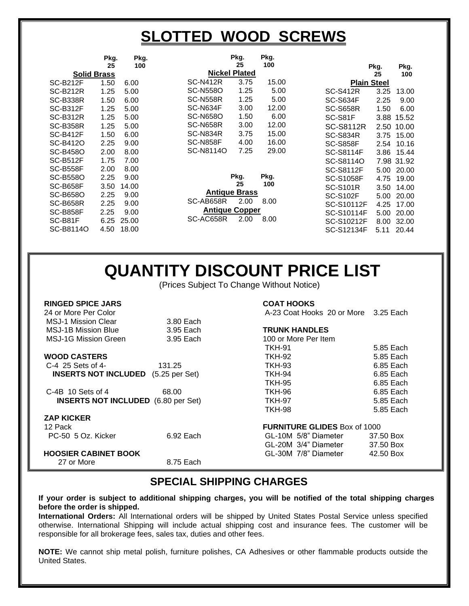### **SLOTTED WOOD SCREWS**

|                    | Pkg. | Pkg.  |                 | Pkg.                  | Pkg.  |                  |                    |            |
|--------------------|------|-------|-----------------|-----------------------|-------|------------------|--------------------|------------|
|                    | 25   | 100   |                 | 25                    | 100   |                  | Pkg.               | Pkg.       |
| <b>Solid Brass</b> |      |       |                 | <b>Nickel Plated</b>  |       |                  | 25                 | 100        |
| <b>SC-B212F</b>    | 1.50 | 6.00  | <b>SC-N412R</b> | 3.75                  | 15.00 |                  | <b>Plain Steel</b> |            |
| <b>SC-B212R</b>    | 1.25 | 5.00  | <b>SC-N558O</b> | 1.25                  | 5.00  | <b>SC-S412R</b>  | 3.25               | 13.00      |
| <b>SC-B338R</b>    | 1.50 | 6.00  | <b>SC-N558R</b> | 1.25                  | 5.00  | <b>SC-S634F</b>  | 2.25               | 9.00       |
| <b>SC-B312F</b>    | 1.25 | 5.00  | SC-N634F        | 3.00                  | 12.00 | <b>SC-S658R</b>  | 1.50               | 6.00       |
| <b>SC-B312R</b>    | 1.25 | 5.00  | <b>SC-N658O</b> | 1.50                  | 6.00  | SC-S81F          |                    | 3.88 15.52 |
| <b>SC-B358R</b>    | 1.25 | 5.00  | <b>SC-N658R</b> | 3.00                  | 12.00 | <b>SC-S8112R</b> | 2.50               | 10.00      |
| <b>SC-B412F</b>    | 1.50 | 6.00  | SC-N834R        | 3.75                  | 15.00 | <b>SC-S834R</b>  | 3.75               | 15.00      |
| SC-B412O           | 2.25 | 9.00  | <b>SC-N858F</b> | 4.00                  | 16.00 | <b>SC-S858F</b>  | 2.54               | 10.16      |
| <b>SC-B458O</b>    | 2.00 | 8.00  | SC-N8114O       | 7.25                  | 29.00 | <b>SC-S8114F</b> | 3.86               | 15.44      |
| <b>SC-B512F</b>    | 1.75 | 7.00  |                 |                       |       | SC-S8114O        |                    | 7.98 31.92 |
| <b>SC-B558F</b>    | 2.00 | 8.00  |                 |                       |       | SC-S8112F        | 5.00               | 20.00      |
| <b>SC-B558O</b>    | 2.25 | 9.00  |                 | Pkg.                  | Pkg.  | <b>SC-S1058F</b> | 4.75               | 19.00      |
| <b>SC-B658F</b>    | 3.50 | 14.00 |                 | 25                    | 100   | <b>SC-S101R</b>  | 3.50               | 14.00      |
| SC-B658O           | 2.25 | 9.00  |                 | <b>Antique Brass</b>  |       | <b>SC-S102F</b>  | 5.00               | 20.00      |
| <b>SC-B658R</b>    | 2.25 | 9.00  | SC-AB658R       | 2.00                  | 8.00  | SC-S10112F       | 4.25               | 17.00      |
| <b>SC-B858F</b>    | 2.25 | 9.00  |                 | <b>Antique Copper</b> |       | SC-S10114F       | 5.00               | 20.00      |
| SC-B81F            | 6.25 | 25.00 | SC-AC658R       | 2.00                  | 8.00  | SC-S10212F       | 8.00               | 32.00      |
| SC-B8114O          | 4.50 | 18.00 |                 |                       |       | SC-S12134F       | 5.11               | 20.44      |
|                    |      |       |                 |                       |       |                  |                    |            |

### **QUANTITY DISCOUNT PRICE LIST**

(Prices Subject To Change Without Notice)

| <b>RINGED SPICE JARS</b>                   |           | <b>COAT HOOKS</b>                    |           |
|--------------------------------------------|-----------|--------------------------------------|-----------|
| 24 or More Per Color                       |           | A-23 Coat Hooks 20 or More 3.25 Each |           |
| <b>MSJ-1 Mission Clear</b>                 | 3.80 Each |                                      |           |
| <b>MSJ-1B Mission Blue</b>                 | 3.95 Each | <b>TRUNK HANDLES</b>                 |           |
| <b>MSJ-1G Mission Green</b>                | 3.95 Each | 100 or More Per Item                 |           |
|                                            |           | <b>TKH-91</b>                        | 5.85 Each |
| <b>WOOD CASTERS</b>                        |           | <b>TKH-92</b>                        | 5.85 Each |
| C-4 25 Sets of 4-                          | 131.25    | <b>TKH-93</b>                        | 6.85 Each |
| <b>INSERTS NOT INCLUDED</b> (5.25 per Set) |           | <b>TKH-94</b>                        | 6.85 Each |
|                                            |           | <b>TKH-95</b>                        | 6.85 Each |
| $C-4B$ 10 Sets of 4                        | 68.00     | <b>TKH-96</b>                        | 6.85 Each |
| <b>INSERTS NOT INCLUDED</b> (6.80 per Set) |           | <b>TKH-97</b>                        | 5.85 Each |
|                                            |           | <b>TKH-98</b>                        | 5.85 Each |
| <b>ZAP KICKER</b>                          |           |                                      |           |
| 12 Pack                                    |           | <b>FURNITURE GLIDES Box of 1000</b>  |           |
| PC-50 5 Oz. Kicker                         | 6.92 Each | GL-10M 5/8" Diameter                 | 37.50 Box |
|                                            |           | GL-20M 3/4" Diameter                 | 37.50 Box |
| <b>HOOSIER CABINET BOOK</b>                |           | GL-30M 7/8" Diameter                 | 42.50 Box |
| 27 or More                                 | 8.75 Each |                                      |           |

#### **SPECIAL SHIPPING CHARGES**

**If your order is subject to additional shipping charges, you will be notified of the total shipping charges before the order is shipped.**

**International Orders:** All International orders will be shipped by United States Postal Service unless specified otherwise. International Shipping will include actual shipping cost and insurance fees. The customer will be responsible for all brokerage fees, sales tax, duties and other fees.

**NOTE:** We cannot ship metal polish, furniture polishes, CA Adhesives or other flammable products outside the United States.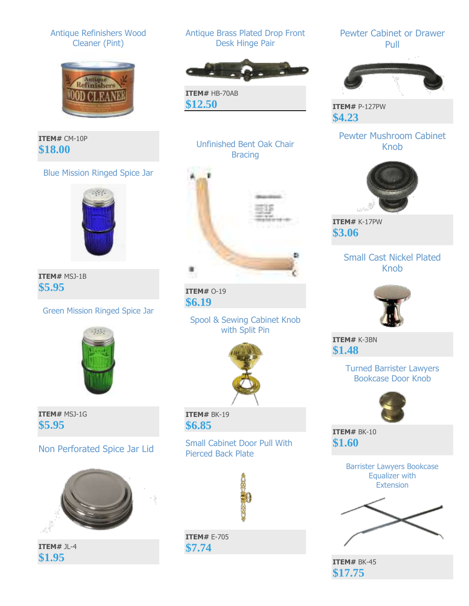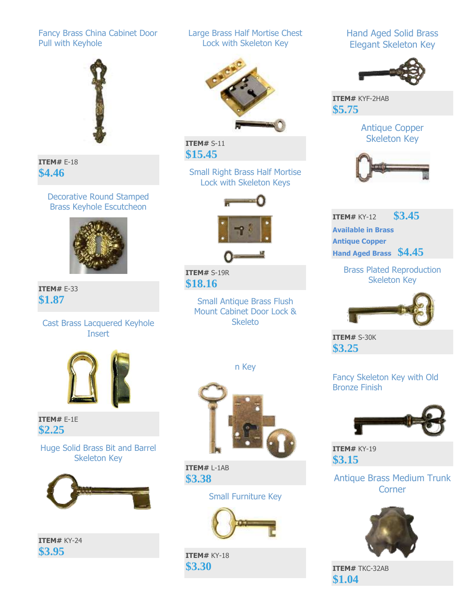#### Fancy Brass China Cabinet Door Pull with Keyhole



**ITEM#** E-18 **\$4.46**

Decorative Round Stamped Brass Keyhole Escutcheon



**ITEM#** E-33 **\$1.87**

> Cast Brass Lacquered Keyhole **Insert**



**ITEM#** E-1E **\$2.25**

Huge Solid Brass Bit and Barrel Skeleton Key



**ITEM#** KY-24 **\$3.95**

Large Brass Half Mortise Chest Lock with Skeleton Key



**ITEM#** S-11 **\$15.45**

> Small Right Brass Half Mortise Lock with Skeleton Keys





**ITEM#** S-19R **\$18.16**

> Small Antique Brass Flush Mount Cabinet Door Lock & Skeleto

> > n Key



**ITEM#** L-1AB **\$3.38**

Small Furniture Key



**ITEM#** KY-18 **\$3.30**

Hand Aged Solid Brass Elegant Skeleton Key



**ITEM#** KYF-2HAB **\$5.75**

> Antique Copper Skeleton Key



**ITEM#** KY-12 **\$3.45 Available in Brass Antique Copper Hand Aged Brass \$4.45**

> Brass Plated Reproduction Skeleton Key



**ITEM#** S-30K **\$3.25**

Fancy Skeleton Key with Old Bronze Finish



**ITEM#** KY-19 **\$3.15**

Antique Brass Medium Trunk **Corner** 



**ITEM#** TKC-32AB **\$1.04**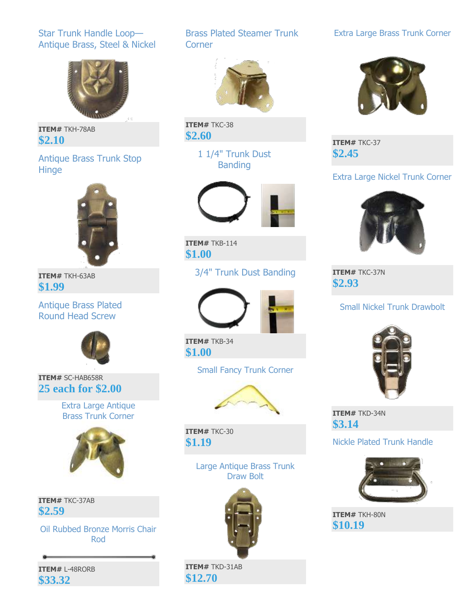#### Star Trunk Handle Loop— Antique Brass, Steel & Nickel



**ITEM#** TKH-78AB **\$2.10**

#### Antique Brass Trunk Stop Hinge



**ITEM#** TKH-63AB **\$1.99**

#### Antique Brass Plated Round Head Screw



**ITEM#** SC-HAB658R **25 each for \$2.00**

> Extra Large Antique Brass Trunk Corner



**ITEM#** TKC-37AB **\$2.59**

Oil Rubbed Bronze Morris Chair Rod

**ITEM#** L-48RORB **\$33.32**

#### Brass Plated Steamer Trunk **Corner**



**ITEM#** TKC-38 **\$2.60**

> 1 1/4" Trunk Dust Banding



**ITEM#** TKB-114 **\$1.00**

#### 3/4" Trunk Dust Banding



**ITEM#** TKB-34 **\$1.00**

Small Fancy Trunk Corner



**ITEM#** TKC-30 **\$1.19**

> Large Antique Brass Trunk Draw Bolt



**ITEM#** TKD-31AB **\$12.70**

#### Extra Large Brass Trunk Corner



**ITEM#** TKC-37 **\$2.45**

#### Extra Large Nickel Trunk Corner



**ITEM#** TKC-37N **\$2.93**

#### Small Nickel Trunk Drawbolt



**ITEM#** TKD-34N **\$3.14**

#### Nickle Plated Trunk Handle



**ITEM#** TKH-80N **\$10.19**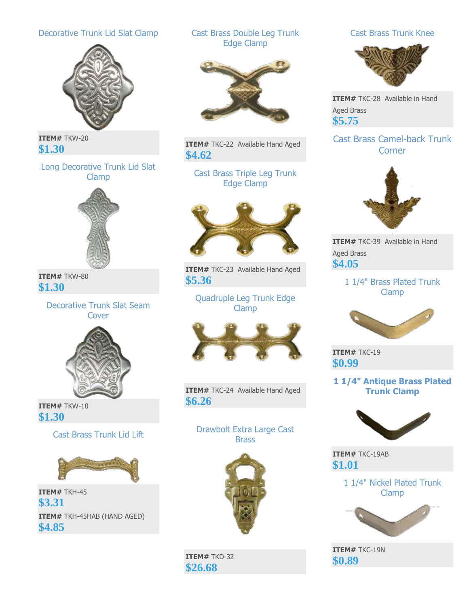#### Decorative Trunk Lid Slat Clamp



**ITEM#** TKW-20 **\$1.30**

Long Decorative Trunk Lid Slat Clamp



**ITEM#** TKW-80 **\$1.30**

> Decorative Trunk Slat Seam Cover



**ITEM#** TKW-10 **\$1.30**

Cast Brass Trunk Lid Lift



**ITEM#** TKH-45 **\$3.31 ITEM#** TKH-45HAB (HAND AGED) **\$4.85**

#### Cast Brass Double Leg Trunk Edge Clamp



**ITEM#** TKC-22 Available Hand Aged **\$4.62**

Cast Brass Triple Leg Trunk Edge Clamp



**ITEM#** TKC-23 Available Hand Aged **\$5.36**

Quadruple Leg Trunk Edge Clamp



**ITEM#** TKC-24 Available Hand Aged **\$6.26**

Drawbolt Extra Large Cast **Brass** 



**ITEM#** TKD-32 **\$26.68**

#### Cast Brass Trunk Knee



**ITEM#** TKC-28 Available in Hand Aged Brass **\$5.75**

#### Cast Brass Camel-back Trunk **Corner**



**ITEM#** TKC-39 Available in Hand Aged Brass **\$4.05**

#### 1 1/4" Brass Plated Trunk Clamp



**ITEM#** TKC-19 **\$0.99**

#### **1 1/4" Antique Brass Plated Trunk Clamp**



**ITEM#** TKC-19AB **\$1.01**

> 1 1/4" Nickel Plated Trunk Clamp



**ITEM#** TKC-19N **\$0.89**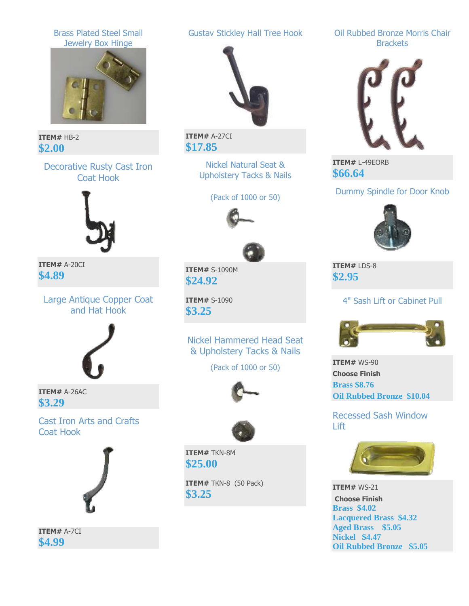

**ITEM#** A-7CI **\$4.99**

**Lacquered Brass \$4.32 Aged Brass \$5.05 Nickel \$4.47**

**Oil Rubbed Bronze \$5.05**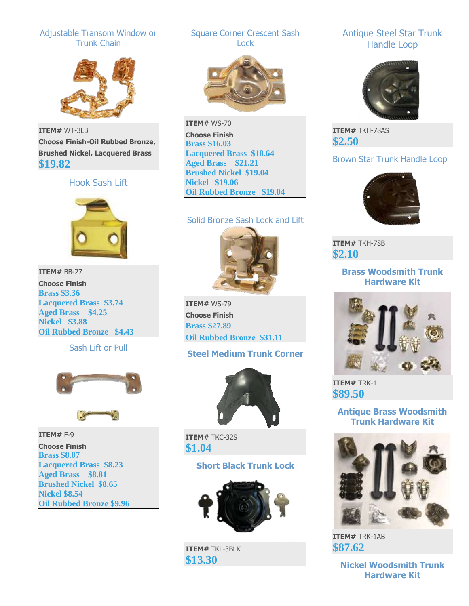#### Adjustable Transom Window or Trunk Chain



**ITEM#** WT-3LB **Choose Finish-Oil Rubbed Bronze, Brushed Nickel, Lacquered Brass \$19.82**

#### Hook Sash Lift



**ITEM#** BB-27 **Choose Finish Brass \$3.36 Lacquered Brass \$3.74 Aged Brass \$4.25 Nickel \$3.88 Oil Rubbed Bronze \$4.43**

Sash Lift or Pull



**ITEM#** F-9 **Choose Finish Brass \$8.07 Lacquered Brass \$8.23 Aged Brass \$8.81 Brushed Nickel \$8.65 Nickel \$8.54 Oil Rubbed Bronze \$9.96**

#### Square Corner Crescent Sash Lock



**ITEM#** WS-70 **Choose Finish Brass \$16.03 Lacquered Brass \$18.64 Aged Brass \$21.21 Brushed Nickel \$19.04 Nickel \$19.06 Oil Rubbed Bronze \$19.04**

#### Solid Bronze Sash Lock and Lift



**ITEM#** WS-79 **Choose Finish Brass \$27.89 Oil Rubbed Bronze \$31.11**

#### **Steel Medium Trunk Corner**



**ITEM#** TKC-32S **\$1.04**

#### **Short Black Trunk Lock**



**ITEM#** TKL-3BLK **\$13.30**

#### Antique Steel Star Trunk Handle Loop



**ITEM#** TKH-78AS **\$2.50**

#### Brown Star Trunk Handle Loop



**ITEM#** TKH-78B **\$2.10**

> **Brass Woodsmith Trunk Hardware Kit**



**ITEM#** TRK-1 **\$89.50**

#### **Antique Brass Woodsmith Trunk Hardware Kit**



**ITEM#** TRK-1AB **\$87.62**

> **Nickel Woodsmith Trunk Hardware Kit**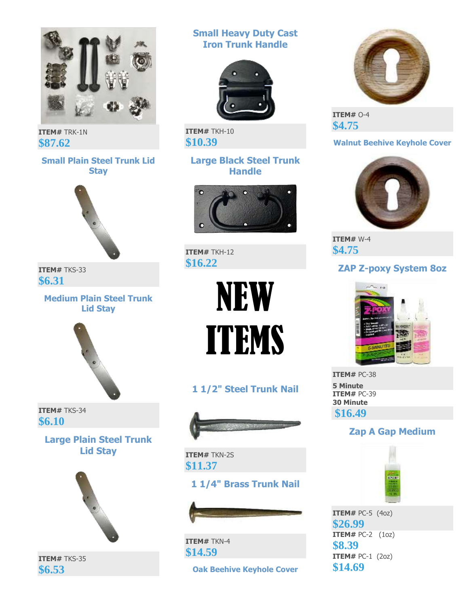

**ITEM#** TRK-1N **\$87.62**

#### **Small Plain Steel Trunk Lid Stay**



**ITEM#** TKS-33 **\$6.31**

**Medium Plain Steel Trunk Lid Stay**



**ITEM#** TKS-34 **\$6.10**

> **Large Plain Steel Trunk Lid Stay**



**ITEM#** TKS-35 **\$6.53**

**Small Heavy Duty Cast Iron Trunk Handle**



**ITEM#** TKH-10 **\$10.39**

#### **Large Black Steel Trunk Handle**



**ITEM#** TKH-12 **\$16.22**



**1 1/2" Steel Trunk Nail**



**ITEM#** TKN-2S **\$11.37**

### **1 1/4" Brass Trunk Nail**



**ITEM#** TKN-4 **\$14.59**

**Oak Beehive Keyhole Cover**



**ITEM#** O-4 **\$4.75**

#### **Walnut Beehive Keyhole Cover**



**ITEM#** W-4 **\$4.75**

#### **ZAP Z-poxy System 8oz**



**ITEM#** PC-38 **5 Minute ITEM#** PC-39 **30 Minute \$16.49**

#### **Zap A Gap Medium**



**ITEM#** PC-5 (4oz) **\$26.99 ITEM#** PC-2 (1oz) **\$8.39 ITEM#** PC-1 (2oz) **\$14.69**